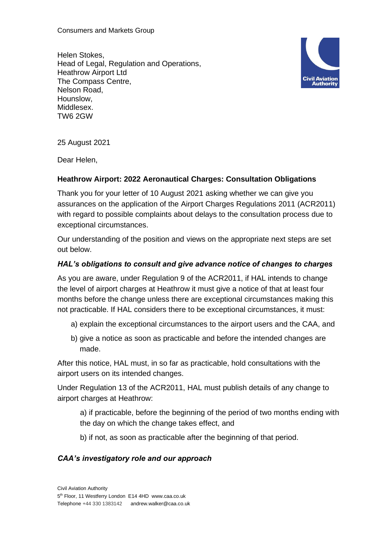Consumers and Markets Group

Helen Stokes, Head of Legal, Regulation and Operations, Heathrow Airport Ltd The Compass Centre, Nelson Road, Hounslow, Middlesex. TW6 2GW



25 August 2021

Dear Helen,

## **Heathrow Airport: 2022 Aeronautical Charges: Consultation Obligations**

Thank you for your letter of 10 August 2021 asking whether we can give you assurances on the application of the Airport Charges Regulations 2011 (ACR2011) with regard to possible complaints about delays to the consultation process due to exceptional circumstances.

Our understanding of the position and views on the appropriate next steps are set out below.

## *HAL's obligations to consult and give advance notice of changes to charges*

As you are aware, under Regulation 9 of the ACR2011, if HAL intends to change the level of airport charges at Heathrow it must give a notice of that at least four months before the change unless there are exceptional circumstances making this not practicable. If HAL considers there to be exceptional circumstances, it must:

- a) explain the exceptional circumstances to the airport users and the CAA, and
- b) give a notice as soon as practicable and before the intended changes are made.

After this notice, HAL must, in so far as practicable, hold consultations with the airport users on its intended changes.

Under Regulation 13 of the ACR2011, HAL must publish details of any change to airport charges at Heathrow:

a) if practicable, before the beginning of the period of two months ending with the day on which the change takes effect, and

b) if not, as soon as practicable after the beginning of that period.

## *CAA's investigatory role and our approach*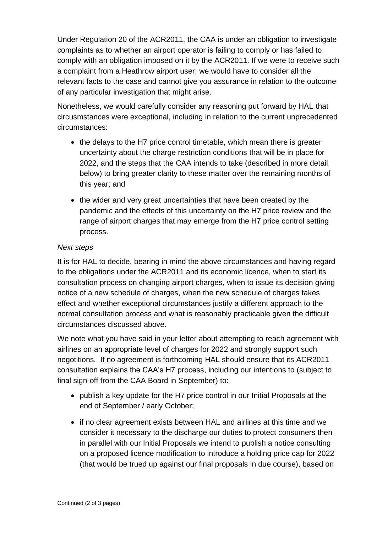Under Regulation 20 of the ACR2011, the CAA is under an obligation to investigate complaints as to whether an airport operator is failing to comply or has failed to comply with an obligation imposed on it by the ACR2011. If we were to receive such a complaint from a Heathrow airport user, we would have to consider all the relevant facts to the case and cannot give you assurance in relation to the outcome of any particular investigation that might arise.

Nonetheless, we would carefully consider any reasoning put forward by HAL that circusmstances were exceptional, including in relation to the current unprecedented circumstances:

- the delays to the H7 price control timetable, which mean there is greater uncertainty about the charge restriction conditions that will be in place for 2022, and the steps that the CAA intends to take (described in more detail below) to bring greater clarity to these matter over the remaining months of this year; and
- the wider and very great uncertainties that have been created by the pandemic and the effects of this uncertainty on the H7 price review and the range of airport charges that may emerge from the H7 price control setting process.

## *Next steps*

It is for HAL to decide, bearing in mind the above circumstances and having regard to the obligations under the ACR2011 and its economic licence, when to start its consultation process on changing airport charges, when to issue its decision giving notice of a new schedule of charges, when the new schedule of charges takes effect and whether exceptional circumstances justify a different approach to the normal consultation process and what is reasonably practicable given the difficult circumstances discussed above.

We note what you have said in your letter about attempting to reach agreement with airlines on an appropriate level of charges for 2022 and strongly support such negotitions. If no agreement is forthcoming HAL should ensure that its ACR2011 consultation explains the CAA's H7 process, including our intentions to (subject to final sign-off from the CAA Board in September) to:

- publish a key update for the H7 price control in our Initial Proposals at the end of September / early October;
- if no clear agreement exists between HAL and airlines at this time and we consider it necessary to the discharge our duties to protect consumers then in parallel with our Initial Proposals we intend to publish a notice consulting on a proposed licence modification to introduce a holding price cap for 2022 (that would be trued up against our final proposals in due course), based on